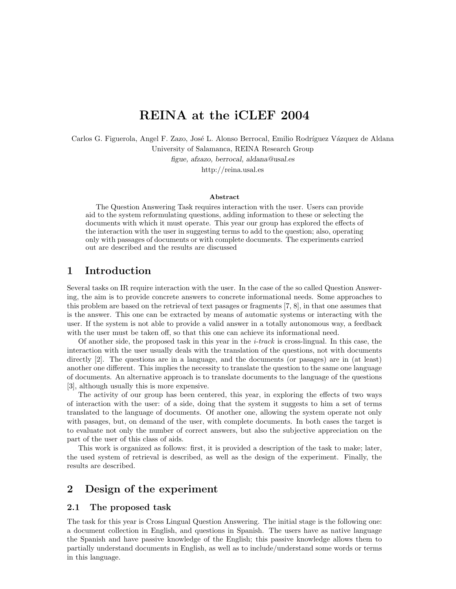# REINA at the iCLEF 2004

Carlos G. Figuerola, Angel F. Zazo, José L. Alonso Berrocal, Emilio Rodríguez Vázquez de Aldana University of Salamanca, REINA Research Group

figue, afzazo, berrocal, aldana@usal.es

http://reina.usal.es

#### Abstract

The Question Answering Task requires interaction with the user. Users can provide aid to the system reformulating questions, adding information to these or selecting the documents with which it must operate. This year our group has explored the effects of the interaction with the user in suggesting terms to add to the question; also, operating only with passages of documents or with complete documents. The experiments carried out are described and the results are discussed

### 1 Introduction

Several tasks on IR require interaction with the user. In the case of the so called Question Answering, the aim is to provide concrete answers to concrete informational needs. Some approaches to this problem are based on the retrieval of text pasages or fragments [7, 8], in that one assumes that is the answer. This one can be extracted by means of automatic systems or interacting with the user. If the system is not able to provide a valid answer in a totally autonomous way, a feedback with the user must be taken off, so that this one can achieve its informational need.

Of another side, the proposed task in this year in the  $i$ -track is cross-lingual. In this case, the interaction with the user usually deals with the translation of the questions, not with documents directly [2]. The questions are in a language, and the documents (or pasages) are in (at least) another one different. This implies the necessity to translate the question to the same one language of documents. An alternative approach is to translate documents to the language of the questions [3], although usually this is more expensive.

The activity of our group has been centered, this year, in exploring the effects of two ways of interaction with the user: of a side, doing that the system it suggests to him a set of terms translated to the language of documents. Of another one, allowing the system operate not only with pasages, but, on demand of the user, with complete documents. In both cases the target is to evaluate not only the number of correct answers, but also the subjective appreciation on the part of the user of this class of aids.

This work is organized as follows: first, it is provided a description of the task to make; later, the used system of retrieval is described, as well as the design of the experiment. Finally, the results are described.

### 2 Design of the experiment

#### 2.1 The proposed task

The task for this year is Cross Lingual Question Answering. The initial stage is the following one: a document collection in English, and questions in Spanish. The users have as native language the Spanish and have passive knowledge of the English; this passive knowledge allows them to partially understand documents in English, as well as to include/understand some words or terms in this language.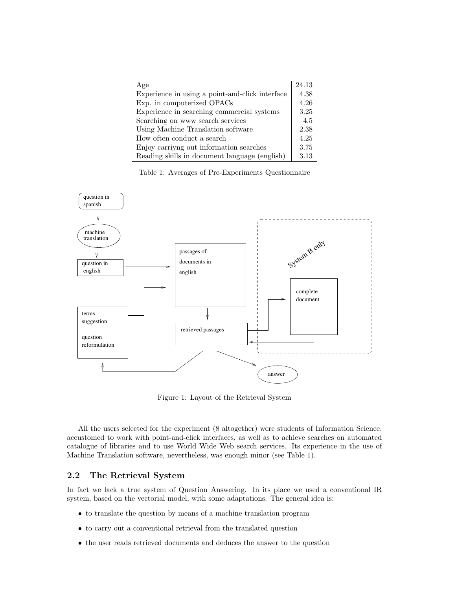| Age                                             | 24.13 |
|-------------------------------------------------|-------|
| Experience in using a point-and-click interface | 4.38  |
| Exp. in computerized OPACs                      | 4.26  |
| Experience in searching commercial systems      | 3.25  |
| Searching on www search services                | 4.5   |
| Using Machine Translation software              | 2.38  |
| How often conduct a search                      | 4.25  |
| Enjoy carriyng out information searches         | 3.75  |
| Reading skills in document language (english)   | 3.13  |

Table 1: Averages of Pre-Experiments Questionnaire



Figure 1: Layout of the Retrieval System

All the users selected for the experiment (8 altogether) were students of Information Science, accustomed to work with point-and-click interfaces, as well as to achieve searches on automated catalogue of libraries and to use World Wide Web search services. Its experience in the use of Machine Translation software, nevertheless, was enough minor (see Table 1).

#### 2.2 The Retrieval System

In fact we lack a true system of Question Answering. In its place we used a conventional IR system, based on the vectorial model, with some adaptations. The general idea is:

- to translate the question by means of a machine translation program
- to carry out a conventional retrieval from the translated question
- the user reads retrieved documents and deduces the answer to the question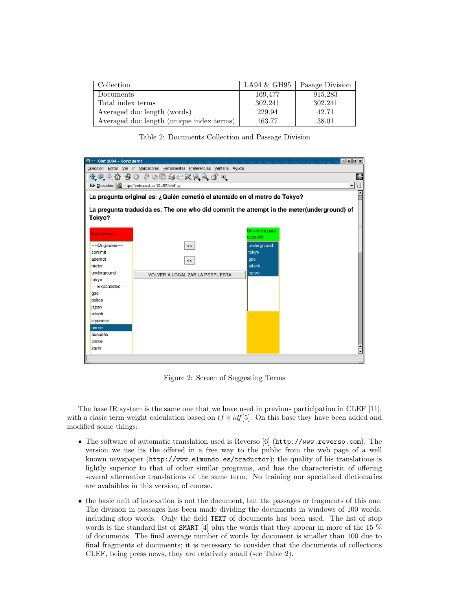| Collection                               | $LA94 \& GH95$ | Pasage Division |
|------------------------------------------|----------------|-----------------|
| Documents                                | 169,477        | 915,283         |
| Total index terms                        | 302,241        | 302,241         |
| Averaged doc length (words)              | 229.94         | 42.71           |
| Averaged doc length (unique index terms) | 163.77         | 38.01           |

Table 2: Documents Collection and Passage Division



Figure 2: Screen of Suggesting Terms

The base IR system is the same one that we have used in previous participation in CLEF [11], with a clasic term weight calculation based on  $tf \times idf[5]$ . On this base they have been added and modified some things:

- The software of automatic translation used is Reverso [6] (http://www.reverso.com). The version we use its the offered in a free way to the public from the web page of a well known newspaper (http://www.elmundo.es/traductor); the quality of his translations is lightly superior to that of other similar programs, and has the characteristic of offering several alternative translations of the same term. No training nor specialized dictionaries are avalaibles in this version, of course.
- the basic unit of indexation is not the document, but the passages or fragments of this one. The division in passages has been made dividing the documents in windows of 100 words, including stop words. Only the field TEXT of documents has been used. The list of stop words is the standard list of SMART [4] plus the words that they appear in more of the 15 % of documents. The final average number of words by document is smaller than 100 due to final fragments of documents; it is necessary to consider that the documents of collections CLEF, being press news, they are relatively small (see Table 2).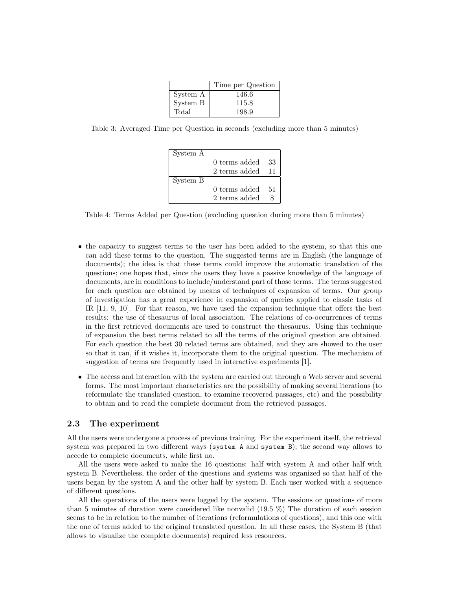|          | Time per Question |
|----------|-------------------|
| System A | 146.6             |
| System B | 115.8             |
| Total    | 198.9             |

Table 3: Averaged Time per Question in seconds (excluding more than 5 minutes)

| System A |               |       |
|----------|---------------|-------|
|          | 0 terms added | 33    |
|          | 2 terms added | $-11$ |
| System B |               |       |
|          | 0 terms added | .51   |
|          | 2 terms added |       |

Table 4: Terms Added per Question (excluding question during more than 5 minutes)

- the capacity to suggest terms to the user has been added to the system, so that this one can add these terms to the question. The suggested terms are in English (the language of documents); the idea is that these terms could improve the automatic translation of the questions; one hopes that, since the users they have a passive knowledge of the language of documents, are in conditions to include/understand part of those terms. The terms suggested for each question are obtained by means of techniques of expansion of terms. Our group of investigation has a great experience in expansion of queries applied to classic tasks of IR [11, 9, 10]. For that reason, we have used the expansion technique that offers the best results: the use of thesaurus of local association. The relations of co-occurrences of terms in the first retrieved documents are used to construct the thesaurus. Using this technique of expansion the best terms related to all the terms of the original question are obtained. For each question the best 30 related terms are obtained, and they are showed to the user so that it can, if it wishes it, incorporate them to the original question. The mechanism of suggestion of terms are frequently used in interactive experiments [1].
- The access and interaction with the system are carried out through a Web server and several forms. The most important characteristics are the possibility of making several iterations (to reformulate the translated question, to examine recovered passages, etc) and the possibility to obtain and to read the complete document from the retrieved passages.

#### 2.3 The experiment

All the users were undergone a process of previous training. For the experiment itself, the retrieval system was prepared in two different ways (system A and system B); the second way allows to accede to complete documents, while first no.

All the users were asked to make the 16 questions: half with system A and other half with system B. Nevertheless, the order of the questions and systems was organized so that half of the users began by the system A and the other half by system B. Each user worked with a sequence of different questions.

All the operations of the users were logged by the system. The sessions or questions of more than 5 minutes of duration were considered like nonvalid (19.5 %) The duration of each session seems to be in relation to the number of iterations (reformulations of questions), and this one with the one of terms added to the original translated question. In all these cases, the System B (that allows to visualize the complete documents) required less resources.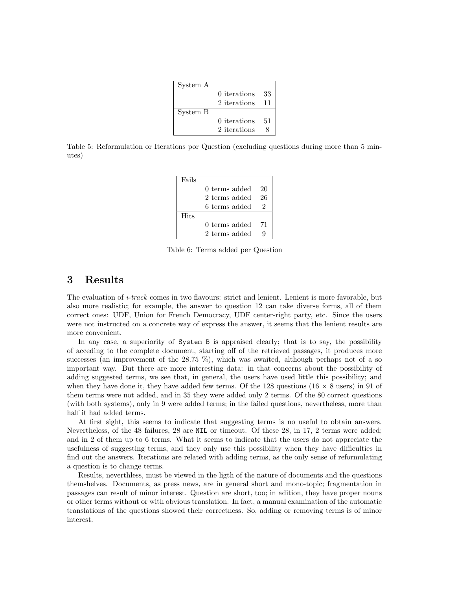| System A |              |    |
|----------|--------------|----|
|          | 0 iterations | 33 |
|          | 2 iterations | 11 |
| System B |              |    |
|          | 0 iterations | 51 |
|          | 2 iterations |    |

Table 5: Reformulation or Iterations por Question (excluding questions during more than 5 minutes)

| Fails |               |    |
|-------|---------------|----|
|       | 0 terms added | 20 |
|       | 2 terms added | 26 |
|       | 6 terms added | 2  |
| Hits  |               |    |
|       | 0 terms added | 71 |
|       | 2 terms added |    |

Table 6: Terms added per Question

## 3 Results

The evaluation of *i-track* comes in two flavours: strict and lenient. Lenient is more favorable, but also more realistic; for example, the answer to question 12 can take diverse forms, all of them correct ones: UDF, Union for French Democracy, UDF center-right party, etc. Since the users were not instructed on a concrete way of express the answer, it seems that the lenient results are more convenient.

In any case, a superiority of System B is appraised clearly; that is to say, the possibility of acceding to the complete document, starting off of the retrieved passages, it produces more successes (an improvement of the 28.75 %), which was awaited, although perhaps not of a so important way. But there are more interesting data: in that concerns about the possibility of adding suggested terms, we see that, in general, the users have used little this possibility; and when they have done it, they have added few terms. Of the 128 questions  $(16 \times 8 \text{ users})$  in 91 of them terms were not added, and in 35 they were added only 2 terms. Of the 80 correct questions (with both systems), only in 9 were added terms; in the failed questions, nevertheless, more than half it had added terms.

At first sight, this seems to indicate that suggesting terms is no useful to obtain answers. Nevertheless, of the 48 failures, 28 are NIL or timeout. Of these 28, in 17, 2 terms were added; and in 2 of them up to 6 terms. What it seems to indicate that the users do not appreciate the usefulness of suggesting terms, and they only use this possibility when they have difficulties in find out the answers. Iterations are related with adding terms, as the only sense of reformulating a question is to change terms.

Results, neverthless, must be viewed in the ligth of the nature of documents and the questions themshelves. Documents, as press news, are in general short and mono-topic; fragmentation in passages can result of minor interest. Question are short, too; in adition, they have proper nouns or other terms without or with obvious translation. In fact, a manual examination of the automatic translations of the questions showed their correctness. So, adding or removing terms is of minor interest.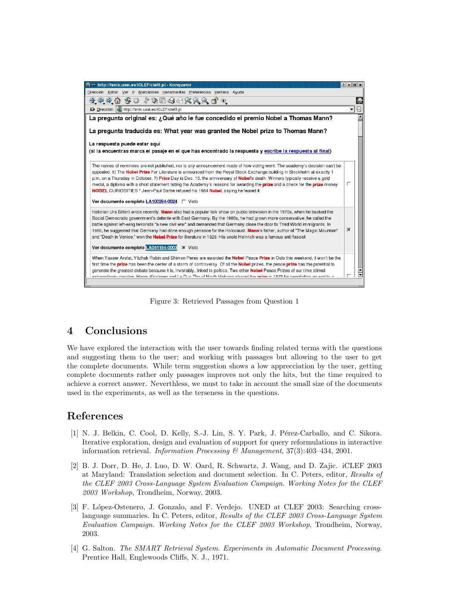

Figure 3: Retrieved Passages from Question 1

## 4 Conclusions

We have explored the interaction with the user towards finding related terms with the questions and suggesting them to the user; and working with passages but allowing to the user to get the complete documents. While term suggestion shows a low apprecciation by the user, getting complete documents rather only passages improves not only the hits, but the time required to achieve a correct answer. Neverthless, we must to take in account the small size of the documents used in the experiments, as well as the terseness in the questions.

## References

- [1] N. J. Belkin, C. Cool, D. Kelly, S.-J. Lin, S. Y. Park, J. Pérez-Carballo, and C. Sikora. Iterative exploration, design and evaluation of support for query reformulations in interactive information retrieval. Information Processing  $\mathcal C$  Management, 37(3):403-434, 2001.
- [2] B. J. Dorr, D. He, J. Luo, D. W. Oard, R. Schwartz, J. Wang, and D. Zajic. iCLEF 2003 at Maryland: Translation selection and document selection. In C. Peters, editor, Results of the CLEF 2003 Cross-Language System Evaluation Campaign. Working Notes for the CLEF 2003 Workshop, Trondheim, Norway, 2003.
- [3] F. López-Ostenero, J. Gonzalo, and F. Verdejo. UNED at CLEF 2003: Searching crosslanguage summaries. In C. Peters, editor, Results of the CLEF 2003 Cross-Language System Evaluation Campaign. Working Notes for the CLEF 2003 Workshop, Trondheim, Norway, 2003.
- [4] G. Salton. The SMART Retrieval System. Experiments in Automatic Document Processing. Prentice Hall, Englewoods Cliffs, N. J., 1971.